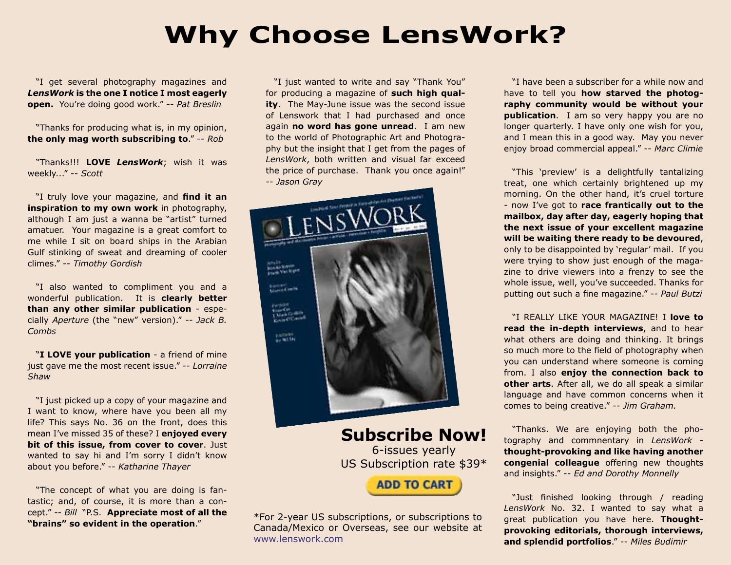# **Why Choose LensWork?**

"I get several photography magazines and *LensWork* **is the one I notice I most eagerly open.** You're doing good work." -- *Pat Breslin*

"Thanks for producing what is, in my opinion, **the only mag worth subscribing to**." -- *Rob*

"Thanks!!! **LOVE** *LensWork*; wish it was weekly..." -- *Scott*

"I truly love your magazine, and **find it an inspiration to my own work** in photography, although I am just a wanna be "artist" turned amatuer. Your magazine is a great comfort to me while I sit on board ships in the Arabian Gulf stinking of sweat and dreaming of cooler climes." -- *Timothy Gordish*

"I also wanted to compliment you and a wonderful publication. It is **clearly better than any other similar publication** - especially *Aperture* (the "new" version)." -- *Jack B. Combs*

"**I LOVE your publication** - a friend of mine just gave me the most recent issue." -- *Lorraine Shaw* 

"I just picked up a copy of your magazine and I want to know, where have you been all my life? This says No. 36 on the front, does this mean I've missed 35 of these? I **enjoyed every bit of this issue, from cover to cover**. Just wanted to say hi and I'm sorry I didn't know about you before." -- *Katharine Thayer*

"The concept of what you are doing is fantastic; and, of course, it is more than a concept." -- *Bill* "P.S. **Appreciate most of all the "brains" so evident in the operation**."

"I just wanted to write and say "Thank You" for producing a magazine of **such high quality**. The May-June issue was the second issue of Lenswork that I had purchased and once again **no word has gone unread**. I am new to the world of Photographic Art and Photography but the insight that I get from the pages of *LensWork*, both written and visual far exceed the price of purchase. Thank you once again!" -- *Jason Gray*



**Subscribe Now!** 6-issues yearly US Subscription rate \$39\*

**ADD TO CART** 

\*For 2-year US subscriptions, or subscriptions to Canada/Mexico or Overseas, see our website at [www.lenswork.com](http://www.lenswork.com)

"I have been a subscriber for a while now and have to tell you **how starved the photography community would be without your publication**. I am so very happy you are no longer quarterly. I have only one wish for you, and I mean this in a good way. May you never enjoy broad commercial appeal." -- *Marc Climie*

"This 'preview' is a delightfully tantalizing treat, one which certainly brightened up my morning. On the other hand, it's cruel torture - now I've got to **race frantically out to the mailbox, day after day, eagerly hoping that the next issue of your excellent magazine will be waiting there ready to be devoured**, only to be disappointed by 'regular' mail. If you were trying to show just enough of the magazine to drive viewers into a frenzy to see the whole issue, well, you've succeeded. Thanks for putting out such a fine magazine." -- *Paul Butzi*

"I REALLY LIKE YOUR MAGAZINE! I **love to read the in-depth interviews**, and to hear what others are doing and thinking. It brings so much more to the field of photography when you can understand where someone is coming from. I also **enjoy the connection back to other arts**. After all, we do all speak a similar language and have common concerns when it comes to being creative." -- *Jim Graham.* 

"Thanks. We are enjoying both the photography and commnentary in *LensWork*  **thought-provoking and like having another congenial colleague** offering new thoughts and insights." -- *Ed and Dorothy Monnelly*

"Just finished looking through / reading *LensWork* No. 32. I wanted to say what a great publication you have here. **Thoughtprovoking editorials, thorough interviews, and splendid portfolios**." -- *Miles Budimir*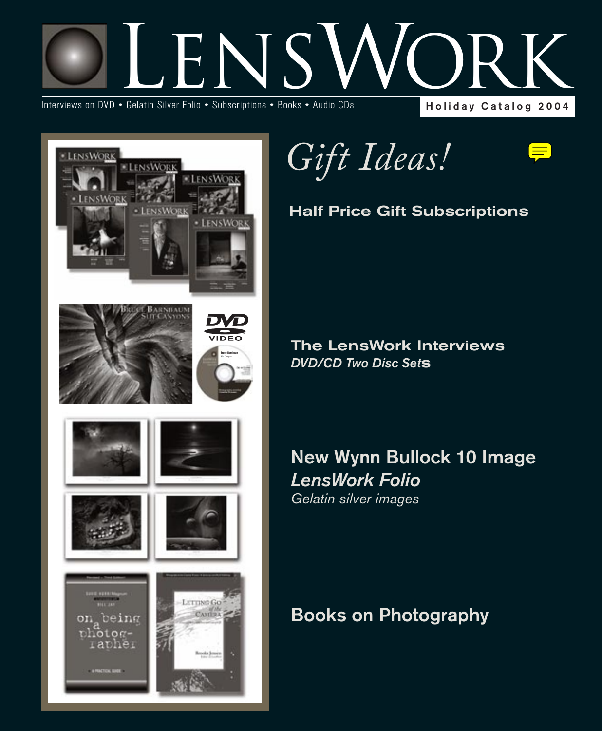

**· LENSWORK ELENSWORK** LENSWORK · LENSWORK · LENSWORK · LENSWORK BARNHAUN **��Bruce Barnbaum** *Slit Canyons* **JUST ASSAULT WEIGHT** LETTING GO  $CAM24 = 8$ on being photographér



- 
- Half Price Gift Subscriptions

The LensWork Interviews DVD/CD Two Disc Sets

New Wynn Bullock 10 Image LensWork Folio Gelatin silver images

Books on Photography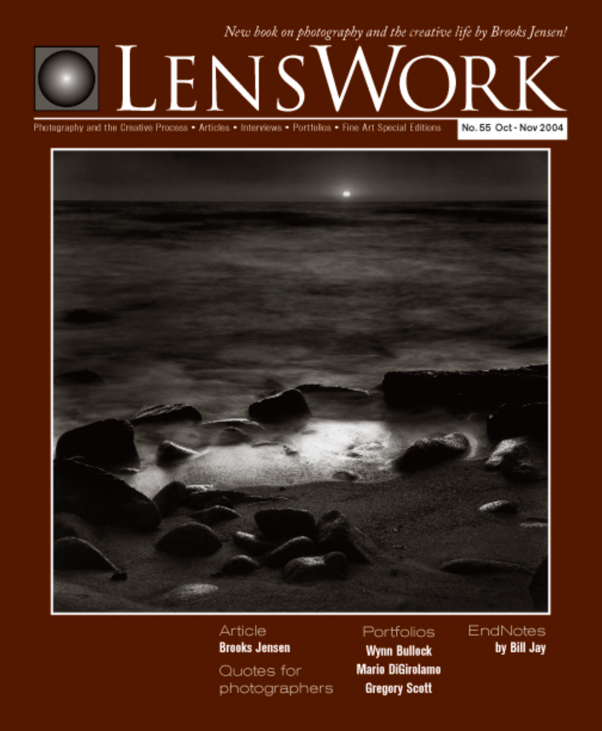New book on photography and the creative life by Brooks Jensen!



Photography and the Creative Process . Articles . Interviews . Portfolios . Fine Art Special Editions



Article **Brooks Jensen** 

Quotes for photographers

#### Portfolios

**Wynn Bullock Mario DiGirolamo Gregory Scott** 

EndNotes by Bill Jay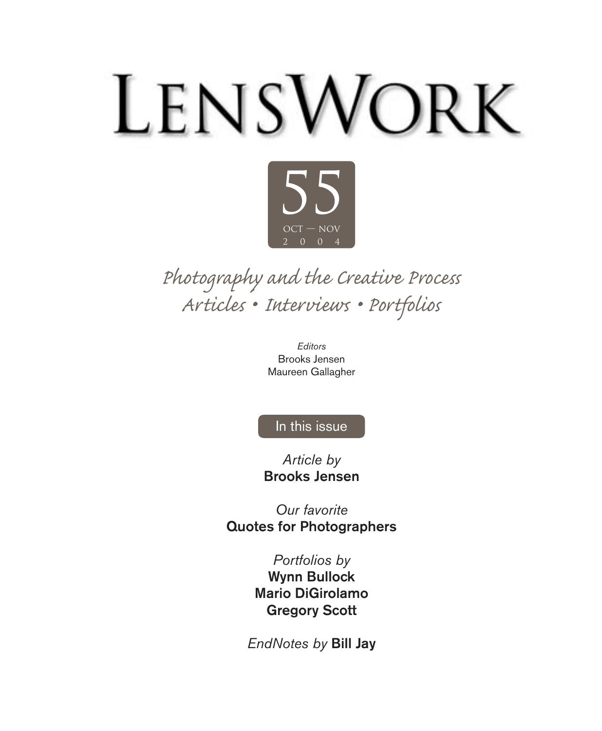# LENSWORK 55 Oct — nov

### Photography and the Creative Process Articles • Interviews • Portfolios

2 0 0 4

**Editors** Brooks Jensen Maureen Gallagher

#### In this issue

Article by Brooks Jensen

Our favorite Quotes for Photographers

> Portfolios by Wynn Bullock Mario DiGirolamo Gregory Scott

EndNotes by Bill Jay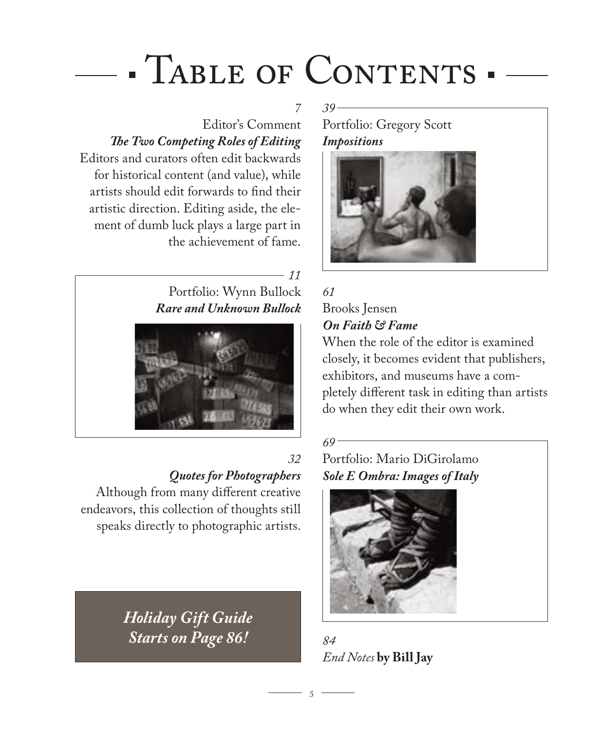# · TABLE OF CONTENTS ·

*39*

#### *7*

Editor's Comment *The Two Competing Roles of Editing* [Editors and curators often edit backwards](#page-5-0)  for historical content (and value), while artists should edit forwards to find their artistic direction. Editing aside, the element of dumb luck plays a large part in the achievement of fame.

> *11* Portfolio: Wynn Bullock *[Rare and Unknown Bullock](#page-9-0)*



#### *32*

*Quotes for Photographers* Although from many different creative [endeavors, this collection of thoughts still](#page-14-0)  speaks directly to photographic artists.

> *Holiday Gift Guide Starts on Page 86!*

[Portfolio: Gregory Scott](#page-12-0) *Impositions*



#### *61* Brooks Jensen *On Faith & Fame*

When the role of the editor is examined closely, it becomes evident that publishers, exhibitors, and museums have a com[pletely different task in editing than artists](#page-14-0)  do when they edit their own work.

#### *69*

 $-5$  –

Portfolio: Mario DiGirolamo *[Sole E Ombra: Images of Italy](#page-15-0)*



*84 End Notes* **by Bill Jay**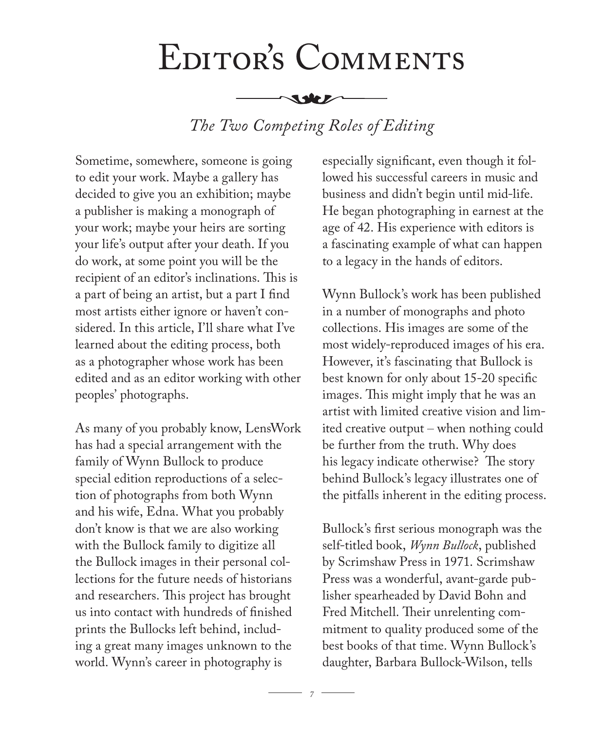### <span id="page-5-0"></span>EDITOR'S COMMENTS

*The Two Competing Roles of Editing*

**Sale 2** 

 $-7 -$ 

Sometime, somewhere, someone is going to edit your work. Maybe a gallery has decided to give you an exhibition; maybe a publisher is making a monograph of your work; maybe your heirs are sorting your life's output after your death. If you do work, at some point you will be the recipient of an editor's inclinations. This is a part of being an artist, but a part I find most artists either ignore or haven't considered. In this article, I'll share what I've learned about the editing process, both as a photographer whose work has been edited and as an editor working with other peoples' photographs.

As many of you probably know, LensWork has had a special arrangement with the family of Wynn Bullock to produce special edition reproductions of a selection of photographs from both Wynn and his wife, Edna. What you probably don't know is that we are also working with the Bullock family to digitize all the Bullock images in their personal collections for the future needs of historians and researchers. This project has brought us into contact with hundreds of finished prints the Bullocks left behind, including a great many images unknown to the world. Wynn's career in photography is

especially significant, even though it followed his successful careers in music and business and didn't begin until mid-life. He began photographing in earnest at the age of 42. His experience with editors is a fascinating example of what can happen to a legacy in the hands of editors.

Wynn Bullock's work has been published in a number of monographs and photo collections. His images are some of the most widely-reproduced images of his era. However, it's fascinating that Bullock is best known for only about 15-20 specific images. This might imply that he was an artist with limited creative vision and limited creative output – when nothing could be further from the truth. Why does his legacy indicate otherwise? The story behind Bullock's legacy illustrates one of the pitfalls inherent in the editing process.

Bullock's first serious monograph was the self-titled book, *Wynn Bullock*, published by Scrimshaw Press in 1971. Scrimshaw Press was a wonderful, avant-garde publisher spearheaded by David Bohn and Fred Mitchell. Their unrelenting commitment to quality produced some of the best books of that time. Wynn Bullock's daughter, Barbara Bullock-Wilson, tells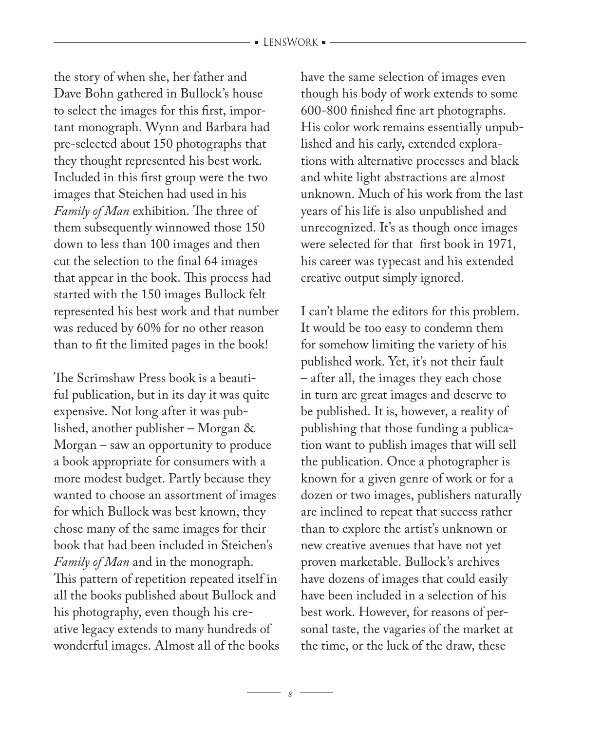the story of when she, her father and Dave Bohn gathered in Bullock's house to select the images for this first, important monograph. Wynn and Barbara had pre-selected about 150 photographs that they thought represented his best work. Included in this first group were the two images that Steichen had used in his *Family of Man* exhibition. The three of them subsequently winnowed those 150 down to less than 100 images and then cut the selection to the final 64 images that appear in the book. This process had started with the 150 images Bullock felt represented his best work and that number was reduced by 60% for no other reason than to fit the limited pages in the book!

The Scrimshaw Press book is a beautiful publication, but in its day it was quite expensive. Not long after it was published, another publisher – Morgan & Morgan – saw an opportunity to produce a book appropriate for consumers with a more modest budget. Partly because they wanted to choose an assortment of images for which Bullock was best known, they chose many of the same images for their book that had been included in Steichen's *Family of Man* and in the monograph. This pattern of repetition repeated itself in all the books published about Bullock and his photography, even though his creative legacy extends to many hundreds of wonderful images. Almost all of the books have the same selection of images even though his body of work extends to some 600-800 finished fine art photographs. His color work remains essentially unpublished and his early, extended explorations with alternative processes and black and white light abstractions are almost unknown. Much of his work from the last years of his life is also unpublished and unrecognized. It's as though once images were selected for that first book in 1971, his career was typecast and his extended creative output simply ignored.

I can't blame the editors for this problem. It would be too easy to condemn them for somehow limiting the variety of his published work. Yet, it's not their fault – after all, the images they each chose in turn are great images and deserve to be published. It is, however, a reality of publishing that those funding a publication want to publish images that will sell the publication. Once a photographer is known for a given genre of work or for a dozen or two images, publishers naturally are inclined to repeat that success rather than to explore the artist's unknown or new creative avenues that have not yet proven marketable. Bullock's archives have dozens of images that could easily have been included in a selection of his best work. However, for reasons of personal taste, the vagaries of the market at the time, or the luck of the draw, these

*8*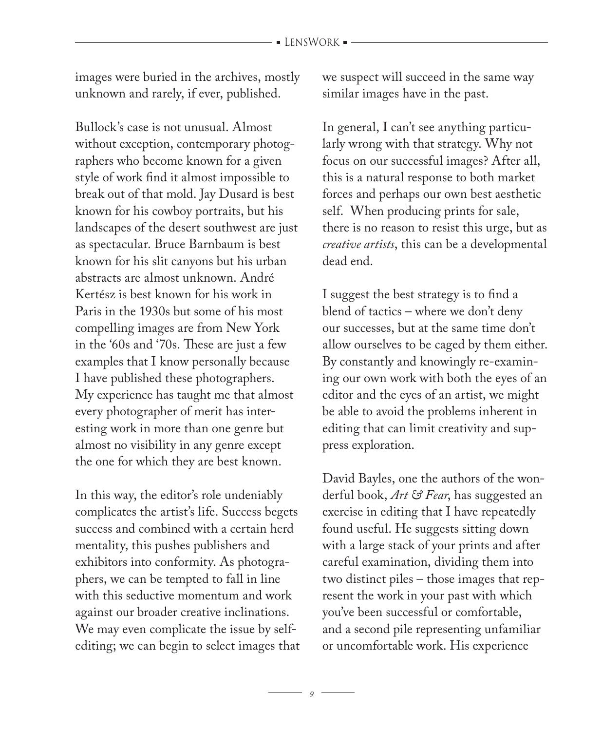images were buried in the archives, mostly unknown and rarely, if ever, published.

Bullock's case is not unusual. Almost without exception, contemporary photographers who become known for a given style of work find it almost impossible to break out of that mold. Jay Dusard is best known for his cowboy portraits, but his landscapes of the desert southwest are just as spectacular. Bruce Barnbaum is best known for his slit canyons but his urban abstracts are almost unknown. André Kertész is best known for his work in Paris in the 1930s but some of his most compelling images are from New York in the '60s and '70s. These are just a few examples that I know personally because I have published these photographers. My experience has taught me that almost every photographer of merit has interesting work in more than one genre but almost no visibility in any genre except the one for which they are best known.

In this way, the editor's role undeniably complicates the artist's life. Success begets success and combined with a certain herd mentality, this pushes publishers and exhibitors into conformity. As photographers, we can be tempted to fall in line with this seductive momentum and work against our broader creative inclinations. We may even complicate the issue by selfediting; we can begin to select images that we suspect will succeed in the same way similar images have in the past.

In general, I can't see anything particularly wrong with that strategy. Why not focus on our successful images? After all, this is a natural response to both market forces and perhaps our own best aesthetic self. When producing prints for sale, there is no reason to resist this urge, but as *creative artists*, this can be a developmental dead end.

I suggest the best strategy is to find a blend of tactics – where we don't deny our successes, but at the same time don't allow ourselves to be caged by them either. By constantly and knowingly re-examining our own work with both the eyes of an editor and the eyes of an artist, we might be able to avoid the problems inherent in editing that can limit creativity and suppress exploration.

David Bayles, one the authors of the wonderful book, *Art & Fear*, has suggested an exercise in editing that I have repeatedly found useful. He suggests sitting down with a large stack of your prints and after careful examination, dividing them into two distinct piles – those images that represent the work in your past with which you've been successful or comfortable, and a second pile representing unfamiliar or uncomfortable work. His experience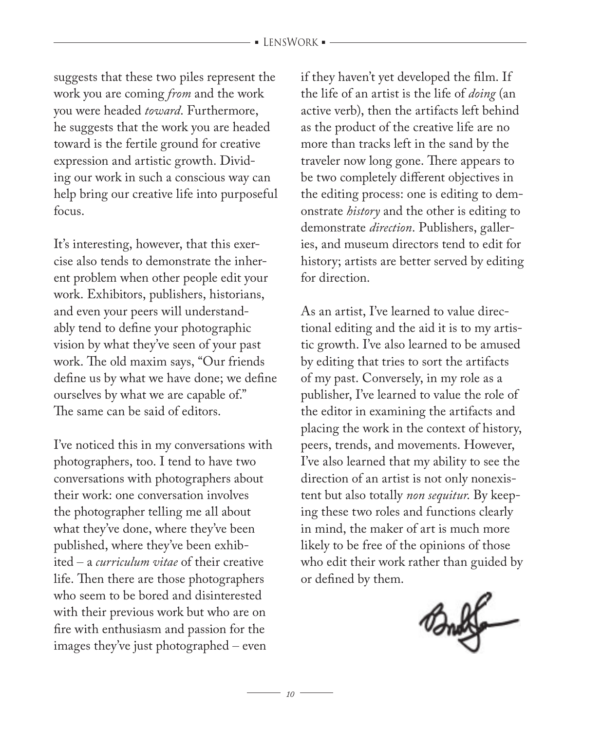*10*

suggests that these two piles represent the work you are coming *from* and the work you were headed *toward*. Furthermore, he suggests that the work you are headed toward is the fertile ground for creative expression and artistic growth. Dividing our work in such a conscious way can help bring our creative life into purposeful focus.

It's interesting, however, that this exercise also tends to demonstrate the inherent problem when other people edit your work. Exhibitors, publishers, historians, and even your peers will understandably tend to define your photographic vision by what they've seen of your past work. The old maxim says, "Our friends define us by what we have done; we define ourselves by what we are capable of." The same can be said of editors.

I've noticed this in my conversations with photographers, too. I tend to have two conversations with photographers about their work: one conversation involves the photographer telling me all about what they've done, where they've been published, where they've been exhibited – a *curriculum vitae* of their creative life. Then there are those photographers who seem to be bored and disinterested with their previous work but who are on fire with enthusiasm and passion for the images they've just photographed – even

if they haven't yet developed the film. If the life of an artist is the life of *doing* (an active verb), then the artifacts left behind as the product of the creative life are no more than tracks left in the sand by the traveler now long gone. There appears to be two completely different objectives in the editing process: one is editing to demonstrate *history* and the other is editing to demonstrate *direction*. Publishers, galleries, and museum directors tend to edit for history; artists are better served by editing for direction.

As an artist, I've learned to value directional editing and the aid it is to my artistic growth. I've also learned to be amused by editing that tries to sort the artifacts of my past. Conversely, in my role as a publisher, I've learned to value the role of the editor in examining the artifacts and placing the work in the context of history, peers, trends, and movements. However, I've also learned that my ability to see the direction of an artist is not only nonexistent but also totally *non sequitur*. By keeping these two roles and functions clearly in mind, the maker of art is much more likely to be free of the opinions of those who edit their work rather than guided by or defined by them.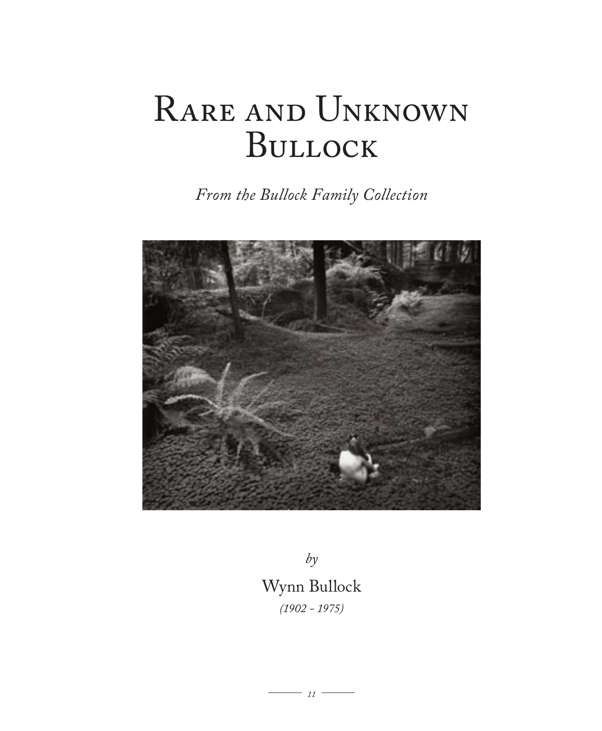### <span id="page-9-0"></span>RARE AND UNKNOWN **BULLOCK**

*From the Bullock Family Collection*



*by* Wynn Bullock *(1902 - 1975)*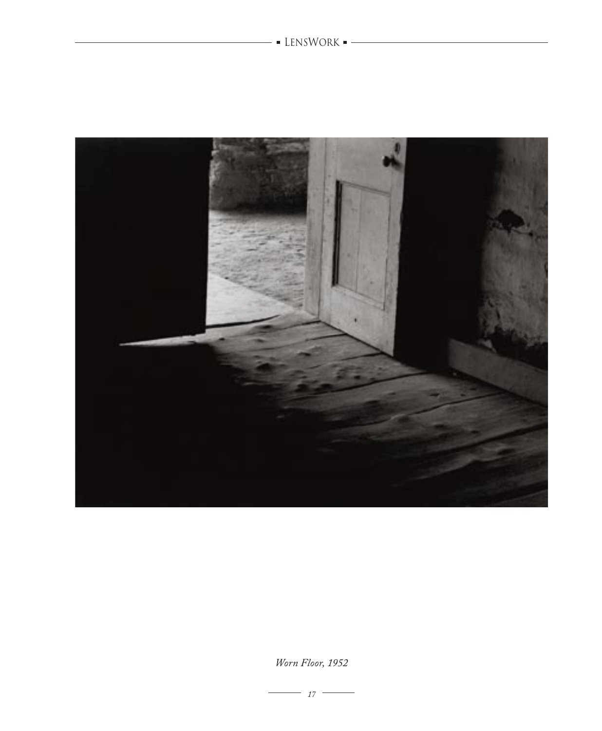

*Worn Floor, 1952*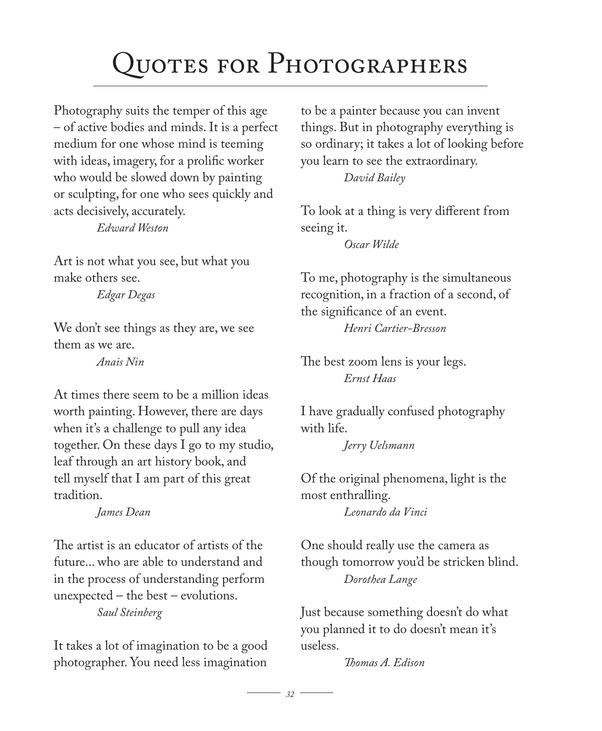### QUOTES FOR PHOTOGRAPHERS

Photography suits the temper of this age – of active bodies and minds. It is a perfect medium for one whose mind is teeming with ideas, imagery, for a prolific worker who would be slowed down by painting or sculpting, for one who sees quickly and acts decisively, accurately.

 *Edward Weston*

Art is not what you see, but what you make others see.

*Edgar Degas*

We don't see things as they are, we see them as we are.

*Anais Nin*

At times there seem to be a million ideas worth painting. However, there are days when it's a challenge to pull any idea together. On these days I go to my studio, leaf through an art history book, and tell myself that I am part of this great tradition.

*James Dean*

The artist is an educator of artists of the future... who are able to understand and in the process of understanding perform unexpected – the best – evolutions.

*Saul Steinberg*

It takes a lot of imagination to be a good photographer. You need less imagination

to be a painter because you can invent things. But in photography everything is so ordinary; it takes a lot of looking before you learn to see the extraordinary.

*David Bailey*

To look at a thing is very different from seeing it.

*Oscar Wilde*

To me, photography is the simultaneous recognition, in a fraction of a second, of the significance of an event. *Henri Cartier-Bresson*

The best zoom lens is your legs. *Ernst Haas*

I have gradually confused photography with life.

*Jerry Uelsmann*

Of the original phenomena, light is the most enthralling.

*Leonardo da Vinci*

One should really use the camera as though tomorrow you'd be stricken blind. *Dorothea Lange*

Just because something doesn't do what you planned it to do doesn't mean it's useless.

 *Thomas A. Edison*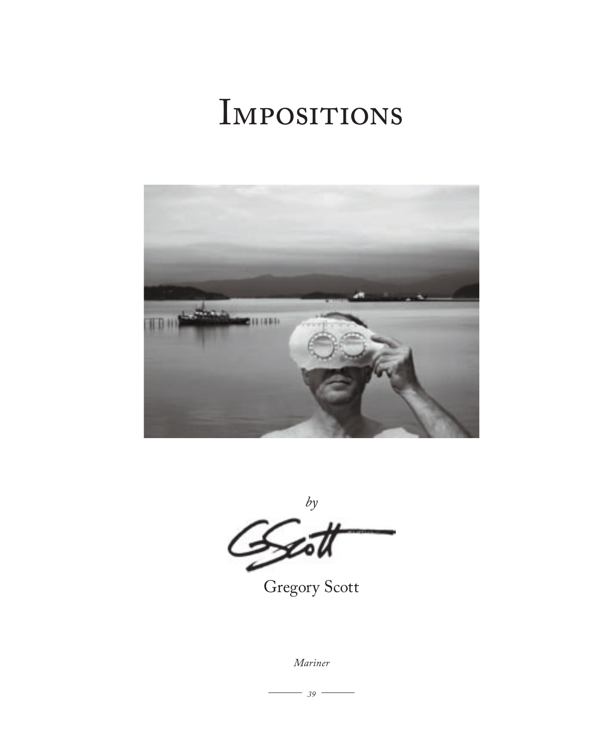# IMPOSITIONS

<span id="page-12-0"></span>

 $\frac{dy}{dx}$ 

Gregory Scott

*Mariner*

 $-39$  –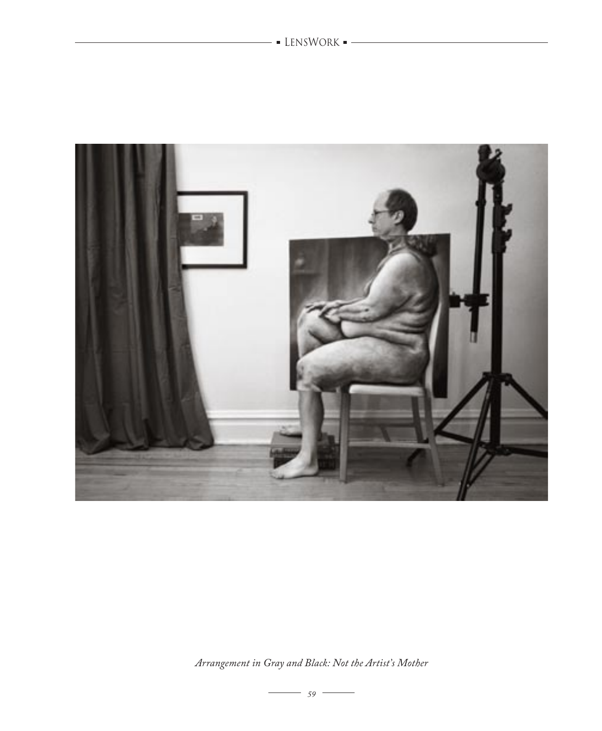

*Arrangement in Gray and Black: Not the Artist's Mother*

 $\overline{\phantom{a}}$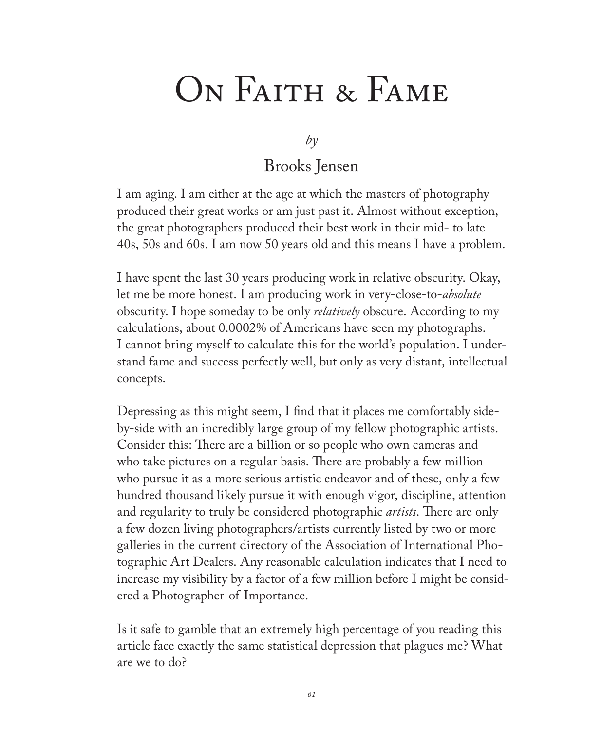### <span id="page-14-0"></span>ON FAITH & FAME

#### *by*

#### Brooks Jensen

I am aging. I am either at the age at which the masters of photography produced their great works or am just past it. Almost without exception, the great photographers produced their best work in their mid- to late 40s, 50s and 60s. I am now 50 years old and this means I have a problem.

I have spent the last 30 years producing work in relative obscurity. Okay, let me be more honest. I am producing work in very-close-to-*absolute* obscurity. I hope someday to be only *relatively* obscure. According to my calculations, about 0.0002% of Americans have seen my photographs. I cannot bring myself to calculate this for the world's population. I understand fame and success perfectly well, but only as very distant, intellectual concepts.

Depressing as this might seem, I find that it places me comfortably sideby-side with an incredibly large group of my fellow photographic artists. Consider this: There are a billion or so people who own cameras and who take pictures on a regular basis. There are probably a few million who pursue it as a more serious artistic endeavor and of these, only a few hundred thousand likely pursue it with enough vigor, discipline, attention and regularity to truly be considered photographic *artists*. There are only a few dozen living photographers/artists currently listed by two or more galleries in the current directory of the Association of International Photographic Art Dealers. Any reasonable calculation indicates that I need to increase my visibility by a factor of a few million before I might be considered a Photographer-of-Importance.

Is it safe to gamble that an extremely high percentage of you reading this article face exactly the same statistical depression that plagues me? What are we to do?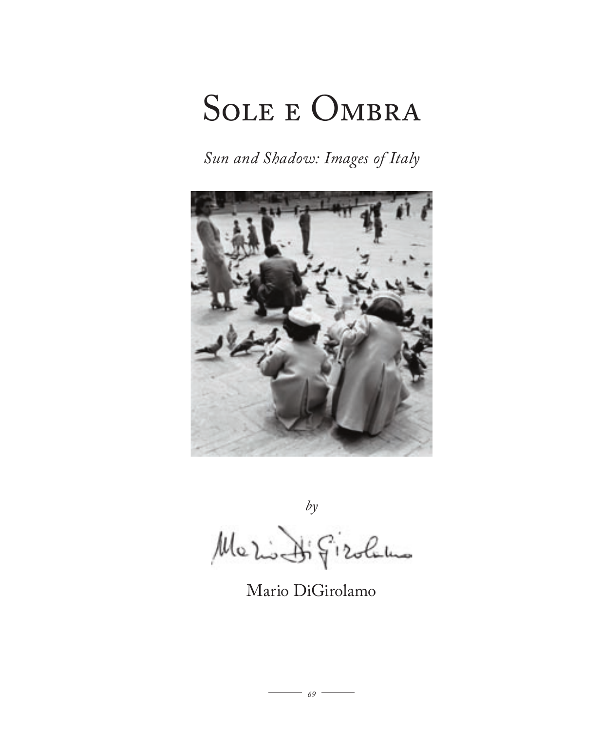# <span id="page-15-0"></span>SOLE E OMBRA

*Sun and Shadow: Images of Italy*



*by*<br>Meridi fizolation

Mario DiGirolamo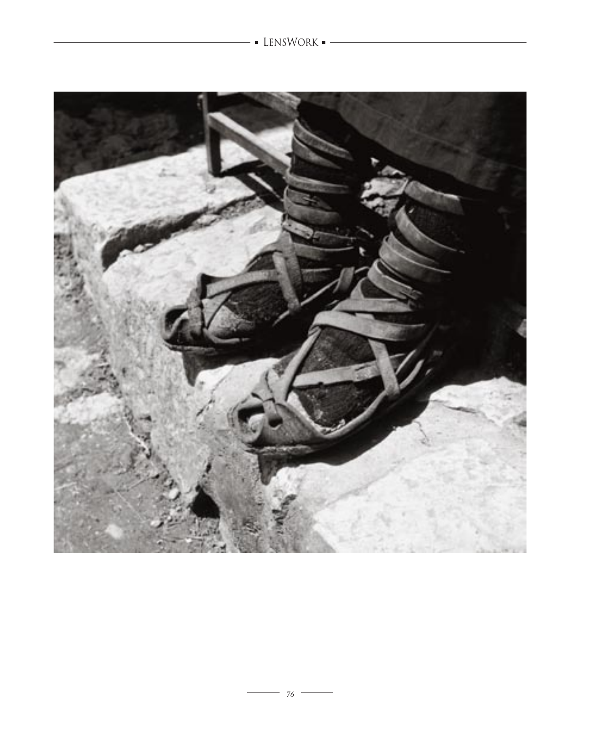